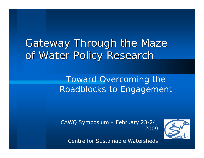# Gateway Through the Maze of Water Policy Research

### Toward Overcoming the Roadblocks to Engagement

CAWQ Symposium – February 23-24, 2009



Centre for Sustainable Watersheds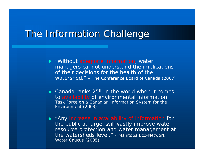## The Information Challenge

- $\bullet$  "Without adequate information, water managers cannot understand the implications of their decisions for the health of the watershed." – The Conference Board of Canada (2007)
- Canada ranks  $25<sup>th</sup>$  in the world when it comes to availability of environmental information. - Task Force on a Canadian Information System for the Environment (2003)
- $\bullet$ "Any increase in availability of information for the public at large…will vastly improve water resource protection and water management at the watersheds level." – Manitoba Eco-Network Water Caucus (2005)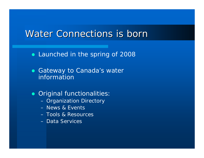#### *Water Connections is born*

• Launched in the spring of 2008

• Gateway to Canada's water information

**• Original functionalities:** 

- Organization Directory
- News & Events
- Tools & Resources
- Data Services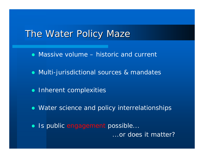#### The Water Policy Maze

- $\bullet$  Massive volume historic and current
- Multi-jurisdictional sources & mandates
- Inherent complexities
- Water science and policy interrelationships
- Is public engagement possible...

...or does it matter?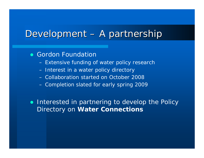#### Development – A partnership

• Gordon Foundation

- Extensive funding of water policy research
- Interest in a water policy directory
- Collaboration started on October 2008
- Completion slated for early spring 2009

• Interested in partnering to develop the Policy Directory on *Water Connections*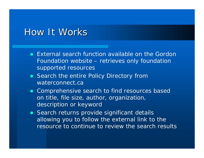#### How It Works

- External search function available on the Gordon Foundation website – retrieves only foundation supported resources
- Search the entire Policy Directory from waterconnect.ca
- Comprehensive search to find resources based on title, file size, author, organization, description or keyword
- Search returns provide significant details allowing you to follow the external link to the resource to continue to review the search results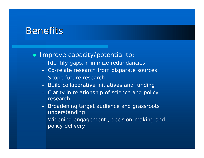# Benefits

#### $\bullet$ Improve capacity/potential to:

- Identify gaps, minimize redundancies
- Co-relate research from disparate sources
- Scope future research
- Build collaborative initiatives and funding
- Clarity in relationship of science and policy research
- Broadening target audience and grassroots understanding
- Widening engagement , decision-making and policy delivery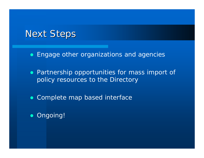# Next Steps

• Engage other organizations and agencies

• Partnership opportunities for mass import of policy resources to the Directory

• Complete map based interface

• Ongoing!